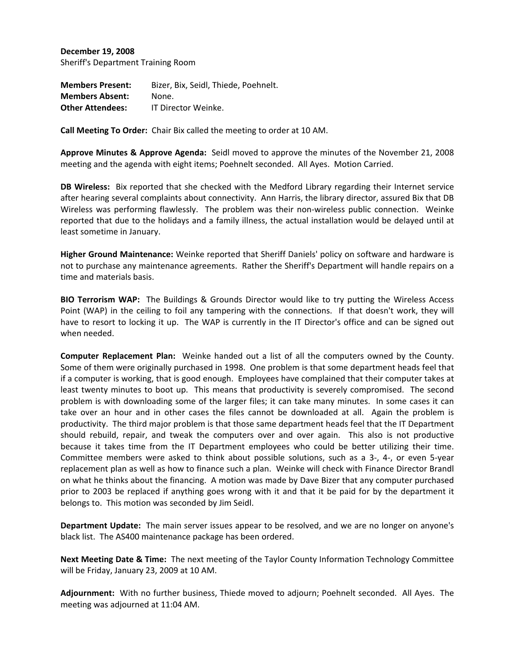**December 19, 2008** Sheriff's Department Training Room

**Members Present:** Bizer, Bix, Seidl, Thiede, Poehnelt. **Members Absent:** None. **Other Attendees:** IT Director Weinke.

**Call Meeting To Order:** Chair Bix called the meeting to order at 10 AM.

**Approve Minutes & Approve Agenda:** Seidl moved to approve the minutes of the November 21, 2008 meeting and the agenda with eight items; Poehnelt seconded. All Ayes. Motion Carried.

**DB Wireless:** Bix reported that she checked with the Medford Library regarding their Internet service after hearing several complaints about connectivity. Ann Harris, the library director, assured Bix that DB Wireless was performing flawlessly. The problem was their non-wireless public connection. Weinke reported that due to the holidays and a family illness, the actual installation would be delayed until at least sometime in January.

**Higher Ground Maintenance:** Weinke reported that Sheriff Daniels' policy on software and hardware is not to purchase any maintenance agreements. Rather the Sheriff's Department will handle repairs on a time and materials basis.

**BIO Terrorism WAP:** The Buildings & Grounds Director would like to try putting the Wireless Access Point (WAP) in the ceiling to foil any tampering with the connections. If that doesn't work, they will have to resort to locking it up. The WAP is currently in the IT Director's office and can be signed out when needed.

**Computer Replacement Plan:** Weinke handed out a list of all the computers owned by the County. Some of them were originally purchased in 1998. One problem is that some department heads feel that if a computer is working, that is good enough. Employees have complained that their computer takes at least twenty minutes to boot up. This means that productivity is severely compromised. The second problem is with downloading some of the larger files; it can take many minutes. In some cases it can take over an hour and in other cases the files cannot be downloaded at all. Again the problem is productivity. The third major problem is that those same department heads feel that the IT Department should rebuild, repair, and tweak the computers over and over again. This also is not productive because it takes time from the IT Department employees who could be better utilizing their time. Committee members were asked to think about possible solutions, such as a 3‐, 4‐, or even 5‐year replacement plan as well as how to finance such a plan. Weinke will check with Finance Director Brandl on what he thinks about the financing. A motion was made by Dave Bizer that any computer purchased prior to 2003 be replaced if anything goes wrong with it and that it be paid for by the department it belongs to. This motion was seconded by Jim Seidl.

**Department Update:** The main server issues appear to be resolved, and we are no longer on anyone's black list. The AS400 maintenance package has been ordered.

**Next Meeting Date & Time:** The next meeting of the Taylor County Information Technology Committee will be Friday, January 23, 2009 at 10 AM.

**Adjournment:** With no further business, Thiede moved to adjourn; Poehnelt seconded. All Ayes. The meeting was adjourned at 11:04 AM.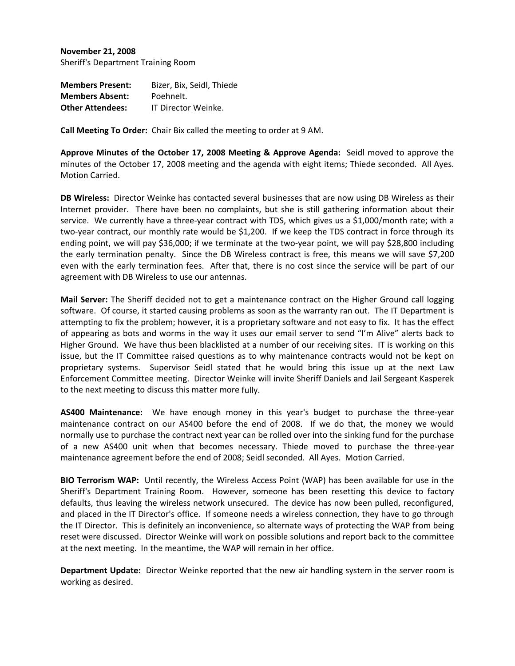**November 21, 2008** Sheriff's Department Training Room

| <b>Members Present:</b> | Bizer, Bix, Seidl, Thiede |
|-------------------------|---------------------------|
| <b>Members Absent:</b>  | Poehnelt.                 |
| <b>Other Attendees:</b> | IT Director Weinke.       |

**Call Meeting To Order:** Chair Bix called the meeting to order at 9 AM.

**Approve Minutes of the October 17, 2008 Meeting & Approve Agenda:** Seidl moved to approve the minutes of the October 17, 2008 meeting and the agenda with eight items; Thiede seconded. All Ayes. Motion Carried.

**DB Wireless:** Director Weinke has contacted several businesses that are now using DB Wireless as their Internet provider. There have been no complaints, but she is still gathering information about their service. We currently have a three-year contract with TDS, which gives us a \$1,000/month rate; with a two-year contract, our monthly rate would be \$1,200. If we keep the TDS contract in force through its ending point, we will pay \$36,000; if we terminate at the two-year point, we will pay \$28,800 including the early termination penalty. Since the DB Wireless contract is free, this means we will save \$7,200 even with the early termination fees. After that, there is no cost since the service will be part of our agreement with DB Wireless to use our antennas.

**Mail Server:** The Sheriff decided not to get a maintenance contract on the Higher Ground call logging software. Of course, it started causing problems as soon as the warranty ran out. The IT Department is attempting to fix the problem; however, it is a proprietary software and not easy to fix. It has the effect of appearing as bots and worms in the way it uses our email server to send "I'm Alive" alerts back to Higher Ground. We have thus been blacklisted at a number of our receiving sites. IT is working on this issue, but the IT Committee raised questions as to why maintenance contracts would not be kept on proprietary systems. Supervisor Seidl stated that he would bring this issue up at the next Law Enforcement Committee meeting. Director Weinke will invite Sheriff Daniels and Jail Sergeant Kasperek to the next meeting to discuss this matter more fully.

**AS400 Maintenance:** We have enough money in this year's budget to purchase the three‐year maintenance contract on our AS400 before the end of 2008. If we do that, the money we would normally use to purchase the contract next year can be rolled over into the sinking fund for the purchase of a new AS400 unit when that becomes necessary. Thiede moved to purchase the three‐year maintenance agreement before the end of 2008; Seidl seconded. All Ayes. Motion Carried.

**BIO Terrorism WAP:** Until recently, the Wireless Access Point (WAP) has been available for use in the Sheriff's Department Training Room. However, someone has been resetting this device to factory defaults, thus leaving the wireless network unsecured. The device has now been pulled, reconfigured, and placed in the IT Director's office. If someone needs a wireless connection, they have to go through the IT Director. This is definitely an inconvenience, so alternate ways of protecting the WAP from being reset were discussed. Director Weinke will work on possible solutions and report back to the committee at the next meeting. In the meantime, the WAP will remain in her office.

**Department Update:** Director Weinke reported that the new air handling system in the server room is working as desired.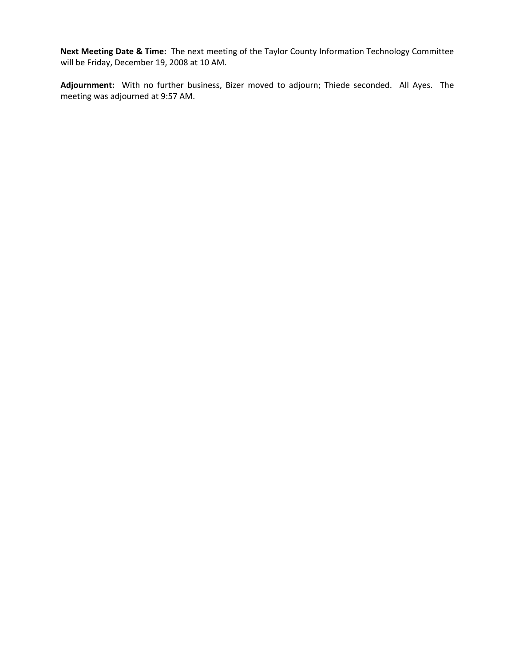**Next Meeting Date & Time:** The next meeting of the Taylor County Information Technology Committee will be Friday, December 19, 2008 at 10 AM.

**Adjournment:** With no further business, Bizer moved to adjourn; Thiede seconded. All Ayes. The meeting was adjourned at 9:57 AM.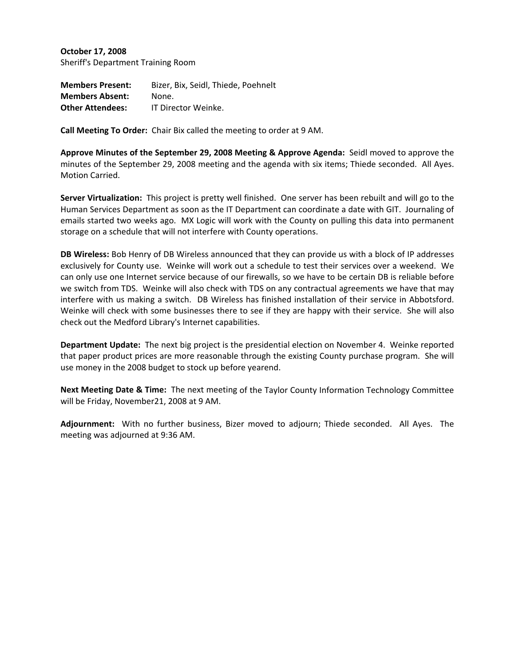**October 17, 2008** Sheriff's Department Training Room

**Members Present:** Bizer, Bix, Seidl, Thiede, Poehnelt **Members Absent:** None. **Other Attendees:** IT Director Weinke.

**Call Meeting To Order:** Chair Bix called the meeting to order at 9 AM.

**Approve Minutes of the September 29, 2008 Meeting & Approve Agenda:** Seidl moved to approve the minutes of the September 29, 2008 meeting and the agenda with six items; Thiede seconded. All Ayes. Motion Carried.

**Server Virtualization:** This project is pretty well finished. One server has been rebuilt and will go to the Human Services Department as soon as the IT Department can coordinate a date with GIT. Journaling of emails started two weeks ago. MX Logic will work with the County on pulling this data into permanent storage on a schedule that will not interfere with County operations.

**DB Wireless:** Bob Henry of DB Wireless announced that they can provide us with a block of IP addresses exclusively for County use. Weinke will work out a schedule to test their services over a weekend. We can only use one Internet service because of our firewalls, so we have to be certain DB is reliable before we switch from TDS. Weinke will also check with TDS on any contractual agreements we have that may interfere with us making a switch. DB Wireless has finished installation of their service in Abbotsford. Weinke will check with some businesses there to see if they are happy with their service. She will also check out the Medford Library's Internet capabilities.

**Department Update:** The next big project is the presidential election on November 4. Weinke reported that paper product prices are more reasonable through the existing County purchase program. She will use money in the 2008 budget to stock up before yearend.

**Next Meeting Date & Time:** The next meeting of the Taylor County Information Technology Committee will be Friday, November21, 2008 at 9 AM.

**Adjournment:** With no further business, Bizer moved to adjourn; Thiede seconded. All Ayes. The meeting was adjourned at 9:36 AM.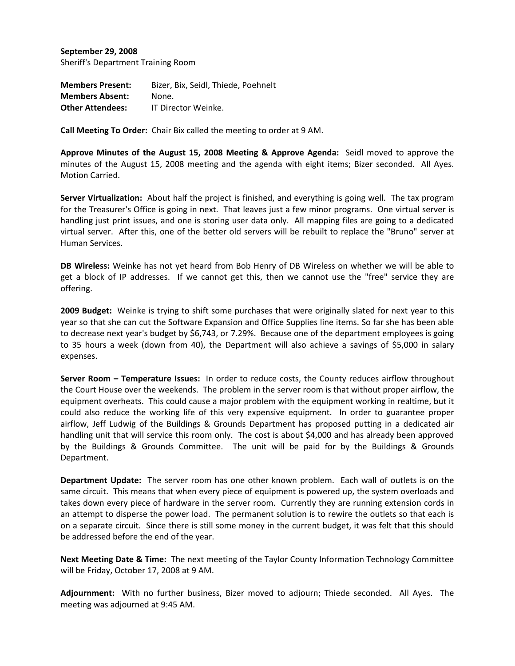**September 29, 2008** Sheriff's Department Training Room

**Members Present:** Bizer, Bix, Seidl, Thiede, Poehnelt **Members Absent:** None. **Other Attendees:** IT Director Weinke.

**Call Meeting To Order:** Chair Bix called the meeting to order at 9 AM.

**Approve Minutes of the August 15, 2008 Meeting & Approve Agenda:** Seidl moved to approve the minutes of the August 15, 2008 meeting and the agenda with eight items; Bizer seconded. All Ayes. Motion Carried.

**Server Virtualization:** About half the project is finished, and everything is going well. The tax program for the Treasurer's Office is going in next. That leaves just a few minor programs. One virtual server is handling just print issues, and one is storing user data only. All mapping files are going to a dedicated virtual server. After this, one of the better old servers will be rebuilt to replace the "Bruno" server at Human Services.

**DB Wireless:** Weinke has not yet heard from Bob Henry of DB Wireless on whether we will be able to get a block of IP addresses. If we cannot get this, then we cannot use the "free" service they are offering.

**2009 Budget:** Weinke is trying to shift some purchases that were originally slated for next year to this year so that she can cut the Software Expansion and Office Supplies line items. So far she has been able to decrease next year's budget by \$6,743, or 7.29%. Because one of the department employees is going to 35 hours a week (down from 40), the Department will also achieve a savings of \$5,000 in salary expenses.

**Server Room – Temperature Issues:** In order to reduce costs, the County reduces airflow throughout the Court House over the weekends. The problem in the server room is that without proper airflow, the equipment overheats. This could cause a major problem with the equipment working in realtime, but it could also reduce the working life of this very expensive equipment. In order to guarantee proper airflow, Jeff Ludwig of the Buildings & Grounds Department has proposed putting in a dedicated air handling unit that will service this room only. The cost is about \$4,000 and has already been approved by the Buildings & Grounds Committee. The unit will be paid for by the Buildings & Grounds Department.

**Department Update:** The server room has one other known problem. Each wall of outlets is on the same circuit. This means that when every piece of equipment is powered up, the system overloads and takes down every piece of hardware in the server room. Currently they are running extension cords in an attempt to disperse the power load. The permanent solution is to rewire the outlets so that each is on a separate circuit. Since there is still some money in the current budget, it was felt that this should be addressed before the end of the year.

**Next Meeting Date & Time:** The next meeting of the Taylor County Information Technology Committee will be Friday, October 17, 2008 at 9 AM.

**Adjournment:** With no further business, Bizer moved to adjourn; Thiede seconded. All Ayes. The meeting was adjourned at 9:45 AM.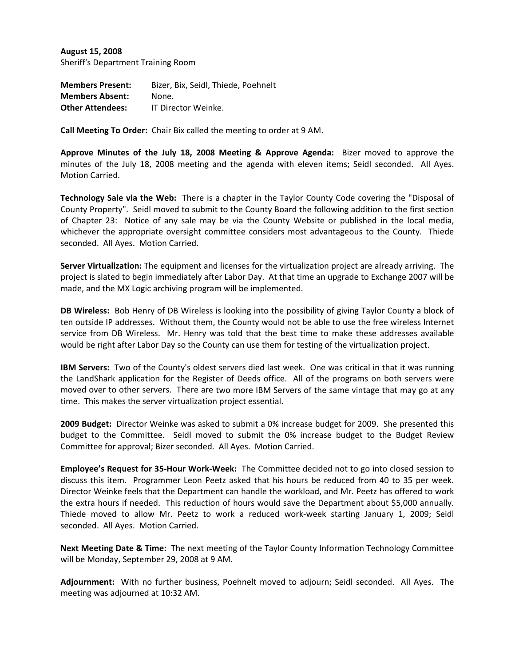**August 15, 2008** Sheriff's Department Training Room

**Members Present:** Bizer, Bix, Seidl, Thiede, Poehnelt **Members Absent:** None. **Other Attendees:** IT Director Weinke.

**Call Meeting To Order:** Chair Bix called the meeting to order at 9 AM.

**Approve Minutes of the July 18, 2008 Meeting & Approve Agenda:** Bizer moved to approve the minutes of the July 18, 2008 meeting and the agenda with eleven items; Seidl seconded. All Ayes. Motion Carried.

**Technology Sale via the Web:** There is a chapter in the Taylor County Code covering the "Disposal of County Property". Seidl moved to submit to the County Board the following addition to the first section of Chapter 23: Notice of any sale may be via the County Website or published in the local media, whichever the appropriate oversight committee considers most advantageous to the County. Thiede seconded. All Ayes. Motion Carried.

**Server Virtualization:** The equipment and licenses for the virtualization project are already arriving. The project is slated to begin immediately after Labor Day. At that time an upgrade to Exchange 2007 will be made, and the MX Logic archiving program will be implemented.

**DB Wireless:** Bob Henry of DB Wireless is looking into the possibility of giving Taylor County a block of ten outside IP addresses. Without them, the County would not be able to use the free wireless Internet service from DB Wireless. Mr. Henry was told that the best time to make these addresses available would be right after Labor Day so the County can use them for testing of the virtualization project.

**IBM Servers:** Two of the County's oldest servers died last week. One was critical in that it was running the LandShark application for the Register of Deeds office. All of the programs on both servers were moved over to other servers. There are two more IBM Servers of the same vintage that may go at any time. This makes the server virtualization project essential.

**2009 Budget:** Director Weinke was asked to submit a 0% increase budget for 2009. She presented this budget to the Committee. Seidl moved to submit the 0% increase budget to the Budget Review Committee for approval; Bizer seconded. All Ayes. Motion Carried.

**Employee's Request for 35‐Hour Work‐Week:** The Committee decided not to go into closed session to discuss this item. Programmer Leon Peetz asked that his hours be reduced from 40 to 35 per week. Director Weinke feels that the Department can handle the workload, and Mr. Peetz has offered to work the extra hours if needed. This reduction of hours would save the Department about \$5,000 annually. Thiede moved to allow Mr. Peetz to work a reduced work‐week starting January 1, 2009; Seidl seconded. All Ayes. Motion Carried.

**Next Meeting Date & Time:** The next meeting of the Taylor County Information Technology Committee will be Monday, September 29, 2008 at 9 AM.

**Adjournment:** With no further business, Poehnelt moved to adjourn; Seidl seconded. All Ayes. The meeting was adjourned at 10:32 AM.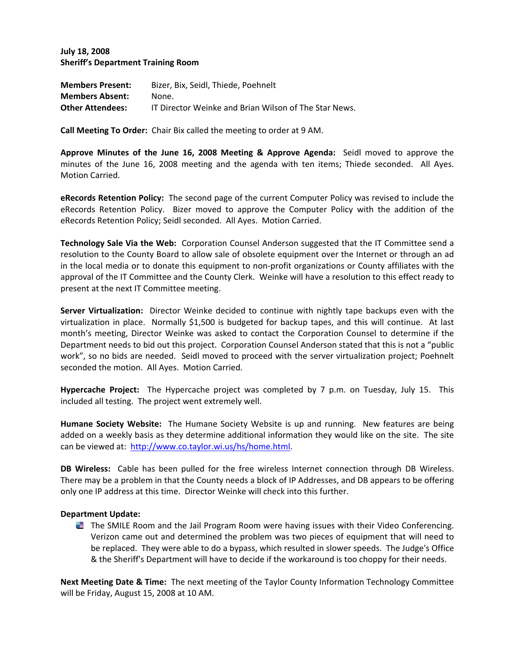**July 18, 2008 Sheriff's Department Training Room**

| <b>Members Present:</b> | Bizer, Bix, Seidl, Thiede, Poehnelt                   |
|-------------------------|-------------------------------------------------------|
| <b>Members Absent:</b>  | None.                                                 |
| <b>Other Attendees:</b> | IT Director Weinke and Brian Wilson of The Star News. |

**Call Meeting To Order:** Chair Bix called the meeting to order at 9 AM.

**Approve Minutes of the June 16, 2008 Meeting & Approve Agenda:** Seidl moved to approve the minutes of the June 16, 2008 meeting and the agenda with ten items; Thiede seconded. All Ayes. Motion Carried.

**eRecords Retention Policy:** The second page of the current Computer Policy was revised to include the eRecords Retention Policy. Bizer moved to approve the Computer Policy with the addition of the eRecords Retention Policy; Seidl seconded. All Ayes. Motion Carried.

**Technology Sale Via the Web:** Corporation Counsel Anderson suggested that the IT Committee send a resolution to the County Board to allow sale of obsolete equipment over the Internet or through an ad in the local media or to donate this equipment to non‐profit organizations or County affiliates with the approval of the IT Committee and the County Clerk. Weinke will have a resolution to this effect ready to present at the next IT Committee meeting.

**Server Virtualization:** Director Weinke decided to continue with nightly tape backups even with the virtualization in place. Normally \$1,500 is budgeted for backup tapes, and this will continue. At last month's meeting, Director Weinke was asked to contact the Corporation Counsel to determine if the Department needs to bid out this project. Corporation Counsel Anderson stated that this is not a "public work", so no bids are needed. Seidl moved to proceed with the server virtualization project; Poehnelt seconded the motion. All Ayes. Motion Carried.

**Hypercache Project:** The Hypercache project was completed by 7 p.m. on Tuesday, July 15. This included all testing. The project went extremely well.

**Humane Society Website:** The Humane Society Website is up and running. New features are being added on a weekly basis as they determine additional information they would like on the site. The site can be viewed at: http://www.co.taylor.wi.us/hs/home.html.

**DB Wireless:** Cable has been pulled for the free wireless Internet connection through DB Wireless. There may be a problem in that the County needs a block of IP Addresses, and DB appears to be offering only one IP address at this time. Director Weinke will check into this further.

### **Department Update:**

The SMILE Room and the Jail Program Room were having issues with their Video Conferencing. Verizon came out and determined the problem was two pieces of equipment that will need to be replaced. They were able to do a bypass, which resulted in slower speeds. The Judge's Office & the Sheriff's Department will have to decide if the workaround is too choppy for their needs.

**Next Meeting Date & Time:** The next meeting of the Taylor County Information Technology Committee will be Friday, August 15, 2008 at 10 AM.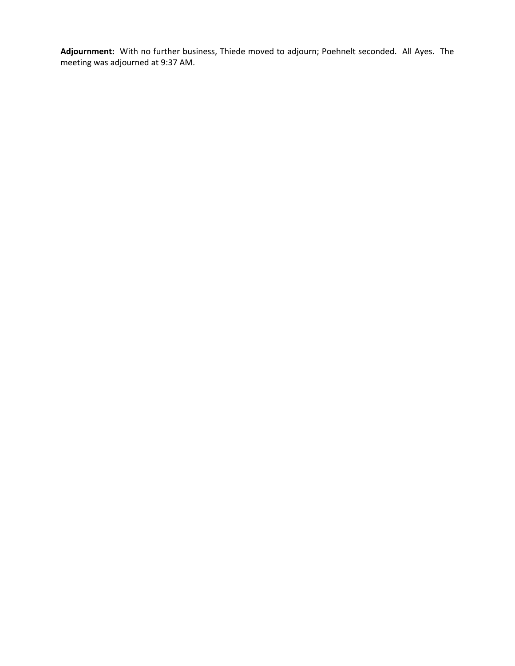**Adjournment:** With no further business, Thiede moved to adjourn; Poehnelt seconded. All Ayes. The meeting was adjourned at 9:37 AM.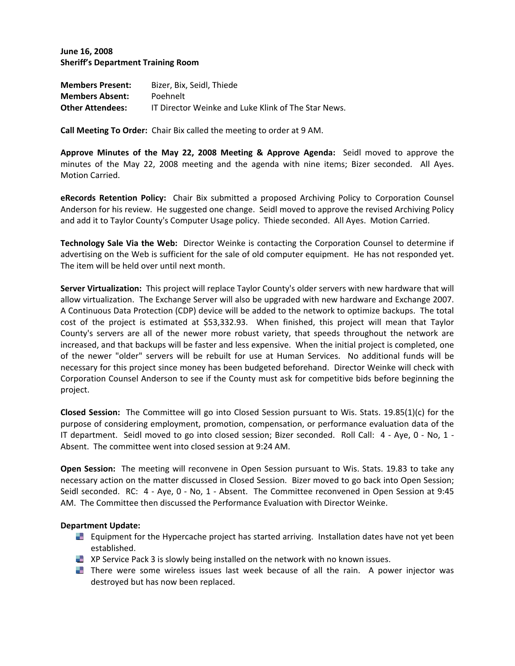**June 16, 2008 Sheriff's Department Training Room**

| <b>Members Present:</b> | Bizer, Bix, Seidl, Thiede                           |
|-------------------------|-----------------------------------------------------|
| <b>Members Absent:</b>  | Poehnelt                                            |
| <b>Other Attendees:</b> | IT Director Weinke and Luke Klink of The Star News. |

**Call Meeting To Order:** Chair Bix called the meeting to order at 9 AM.

**Approve Minutes of the May 22, 2008 Meeting & Approve Agenda:** Seidl moved to approve the minutes of the May 22, 2008 meeting and the agenda with nine items; Bizer seconded. All Ayes. Motion Carried.

**eRecords Retention Policy:** Chair Bix submitted a proposed Archiving Policy to Corporation Counsel Anderson for his review. He suggested one change. Seidl moved to approve the revised Archiving Policy and add it to Taylor County's Computer Usage policy. Thiede seconded. All Ayes. Motion Carried.

**Technology Sale Via the Web:** Director Weinke is contacting the Corporation Counsel to determine if advertising on the Web is sufficient for the sale of old computer equipment. He has not responded yet. The item will be held over until next month.

**Server Virtualization:** This project will replace Taylor County's older servers with new hardware that will allow virtualization. The Exchange Server will also be upgraded with new hardware and Exchange 2007. A Continuous Data Protection (CDP) device will be added to the network to optimize backups. The total cost of the project is estimated at \$53,332.93. When finished, this project will mean that Taylor County's servers are all of the newer more robust variety, that speeds throughout the network are increased, and that backups will be faster and less expensive. When the initial project is completed, one of the newer "older" servers will be rebuilt for use at Human Services. No additional funds will be necessary for this project since money has been budgeted beforehand. Director Weinke will check with Corporation Counsel Anderson to see if the County must ask for competitive bids before beginning the project.

**Closed Session:** The Committee will go into Closed Session pursuant to Wis. Stats. 19.85(1)(c) for the purpose of considering employment, promotion, compensation, or performance evaluation data of the IT department. Seidl moved to go into closed session; Bizer seconded. Roll Call: 4 ‐ Aye, 0 ‐ No, 1 ‐ Absent. The committee went into closed session at 9:24 AM.

**Open Session:** The meeting will reconvene in Open Session pursuant to Wis. Stats. 19.83 to take any necessary action on the matter discussed in Closed Session. Bizer moved to go back into Open Session; Seidl seconded. RC: 4 - Aye, 0 - No, 1 - Absent. The Committee reconvened in Open Session at 9:45 AM. The Committee then discussed the Performance Evaluation with Director Weinke.

### **Department Update:**

- Equipment for the Hypercache project has started arriving. Installation dates have not yet been established.
- **XP Service Pack 3 is slowly being installed on the network with no known issues.**
- There were some wireless issues last week because of all the rain. A power injector was destroyed but has now been replaced.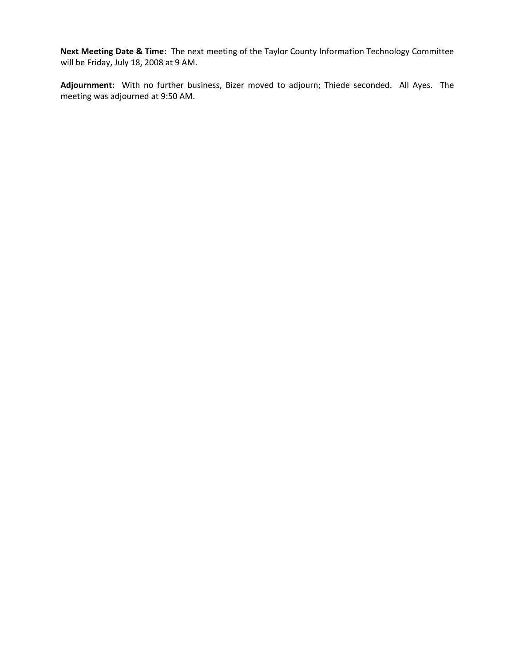**Next Meeting Date & Time:** The next meeting of the Taylor County Information Technology Committee will be Friday, July 18, 2008 at 9 AM.

**Adjournment:** With no further business, Bizer moved to adjourn; Thiede seconded. All Ayes. The meeting was adjourned at 9:50 AM.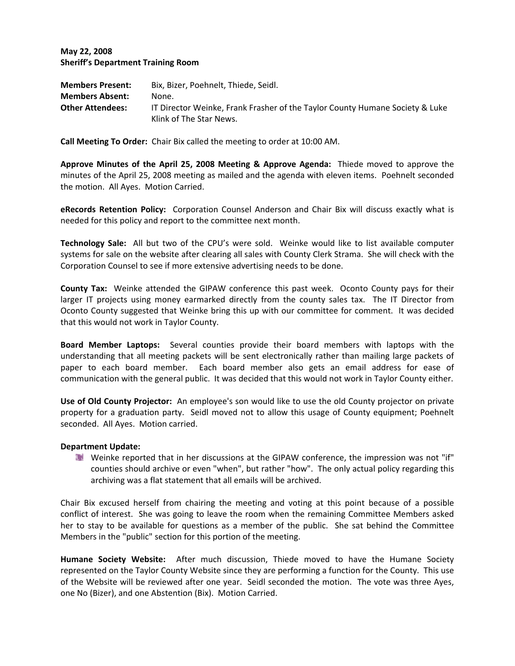## **May 22, 2008 Sheriff's Department Training Room**

| <b>Members Present:</b> | Bix, Bizer, Poehnelt, Thiede, Seidl.                                         |
|-------------------------|------------------------------------------------------------------------------|
| <b>Members Absent:</b>  | None.                                                                        |
| <b>Other Attendees:</b> | IT Director Weinke, Frank Frasher of the Taylor County Humane Society & Luke |
|                         | Klink of The Star News.                                                      |

**Call Meeting To Order:** Chair Bix called the meeting to order at 10:00 AM.

**Approve Minutes of the April 25, 2008 Meeting & Approve Agenda:** Thiede moved to approve the minutes of the April 25, 2008 meeting as mailed and the agenda with eleven items. Poehnelt seconded the motion. All Ayes. Motion Carried.

**eRecords Retention Policy:** Corporation Counsel Anderson and Chair Bix will discuss exactly what is needed for this policy and report to the committee next month.

**Technology Sale:** All but two of the CPU's were sold. Weinke would like to list available computer systems for sale on the website after clearing all sales with County Clerk Strama. She will check with the Corporation Counsel to see if more extensive advertising needs to be done.

**County Tax:** Weinke attended the GIPAW conference this past week. Oconto County pays for their larger IT projects using money earmarked directly from the county sales tax. The IT Director from Oconto County suggested that Weinke bring this up with our committee for comment. It was decided that this would not work in Taylor County.

**Board Member Laptops:** Several counties provide their board members with laptops with the understanding that all meeting packets will be sent electronically rather than mailing large packets of paper to each board member. Each board member also gets an email address for ease of communication with the general public. It was decided that this would not work in Taylor County either.

**Use of Old County Projector:** An employee's son would like to use the old County projector on private property for a graduation party. Seidl moved not to allow this usage of County equipment; Poehnelt seconded. All Ayes. Motion carried.

### **Department Update:**

Weinke reported that in her discussions at the GIPAW conference, the impression was not "if" counties should archive or even "when", but rather "how". The only actual policy regarding this archiving was a flat statement that all emails will be archived.

Chair Bix excused herself from chairing the meeting and voting at this point because of a possible conflict of interest. She was going to leave the room when the remaining Committee Members asked her to stay to be available for questions as a member of the public. She sat behind the Committee Members in the "public" section for this portion of the meeting.

**Humane Society Website:** After much discussion, Thiede moved to have the Humane Society represented on the Taylor County Website since they are performing a function for the County. This use of the Website will be reviewed after one year. Seidl seconded the motion. The vote was three Ayes, one No (Bizer), and one Abstention (Bix). Motion Carried.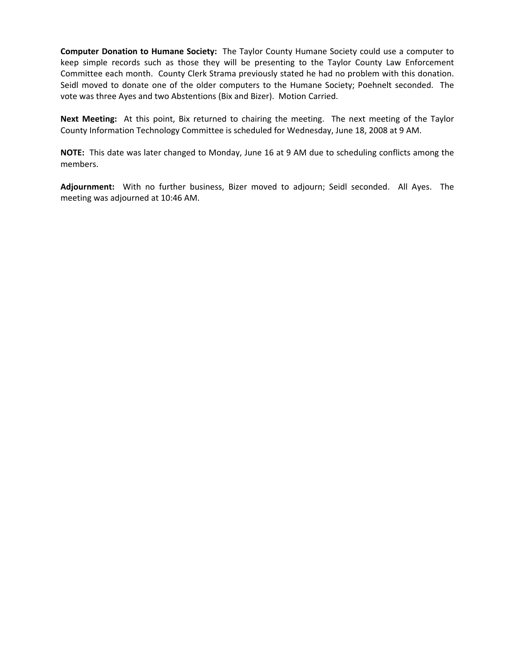**Computer Donation to Humane Society:** The Taylor County Humane Society could use a computer to keep simple records such as those they will be presenting to the Taylor County Law Enforcement Committee each month. County Clerk Strama previously stated he had no problem with this donation. Seidl moved to donate one of the older computers to the Humane Society; Poehnelt seconded. The vote was three Ayes and two Abstentions (Bix and Bizer). Motion Carried.

**Next Meeting:** At this point, Bix returned to chairing the meeting. The next meeting of the Taylor County Information Technology Committee is scheduled for Wednesday, June 18, 2008 at 9 AM.

**NOTE:** This date was later changed to Monday, June 16 at 9 AM due to scheduling conflicts among the members.

**Adjournment:** With no further business, Bizer moved to adjourn; Seidl seconded. All Ayes. The meeting was adjourned at 10:46 AM.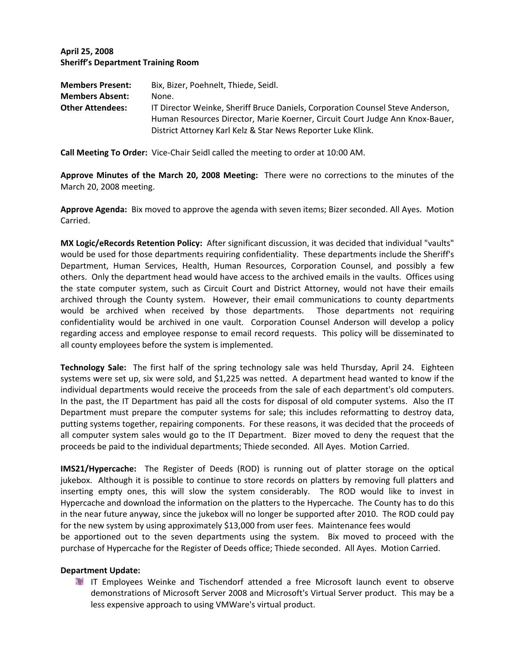# **April 25, 2008 Sheriff's Department Training Room**

| <b>Members Present:</b> | Bix, Bizer, Poehnelt, Thiede, Seidl.                                           |  |
|-------------------------|--------------------------------------------------------------------------------|--|
| <b>Members Absent:</b>  | None.                                                                          |  |
| <b>Other Attendees:</b> | IT Director Weinke, Sheriff Bruce Daniels, Corporation Counsel Steve Anderson, |  |
|                         | Human Resources Director, Marie Koerner, Circuit Court Judge Ann Knox-Bauer,   |  |
|                         | District Attorney Karl Kelz & Star News Reporter Luke Klink.                   |  |

**Call Meeting To Order:** Vice‐Chair Seidl called the meeting to order at 10:00 AM.

**Approve Minutes of the March 20, 2008 Meeting:** There were no corrections to the minutes of the March 20, 2008 meeting.

**Approve Agenda:** Bix moved to approve the agenda with seven items; Bizer seconded. All Ayes. Motion Carried.

**MX Logic/eRecords Retention Policy:** After significant discussion, it was decided that individual "vaults" would be used for those departments requiring confidentiality. These departments include the Sheriff's Department, Human Services, Health, Human Resources, Corporation Counsel, and possibly a few others. Only the department head would have access to the archived emails in the vaults. Offices using the state computer system, such as Circuit Court and District Attorney, would not have their emails archived through the County system. However, their email communications to county departments would be archived when received by those departments. Those departments not requiring confidentiality would be archived in one vault. Corporation Counsel Anderson will develop a policy regarding access and employee response to email record requests. This policy will be disseminated to all county employees before the system is implemented.

**Technology Sale:** The first half of the spring technology sale was held Thursday, April 24. Eighteen systems were set up, six were sold, and \$1,225 was netted. A department head wanted to know if the individual departments would receive the proceeds from the sale of each department's old computers. In the past, the IT Department has paid all the costs for disposal of old computer systems. Also the IT Department must prepare the computer systems for sale; this includes reformatting to destroy data, putting systems together, repairing components. For these reasons, it was decided that the proceeds of all computer system sales would go to the IT Department. Bizer moved to deny the request that the proceeds be paid to the individual departments; Thiede seconded. All Ayes. Motion Carried.

**IMS21/Hypercache:** The Register of Deeds (ROD) is running out of platter storage on the optical jukebox. Although it is possible to continue to store records on platters by removing full platters and inserting empty ones, this will slow the system considerably. The ROD would like to invest in Hypercache and download the information on the platters to the Hypercache. The County has to do this in the near future anyway, since the jukebox will no longer be supported after 2010. The ROD could pay for the new system by using approximately \$13,000 from user fees. Maintenance fees would be apportioned out to the seven departments using the system. Bix moved to proceed with the purchase of Hypercache for the Register of Deeds office; Thiede seconded. All Ayes. Motion Carried.

### **Department Update:**

IT Employees Weinke and Tischendorf attended a free Microsoft launch event to observe demonstrations of Microsoft Server 2008 and Microsoft's Virtual Server product. This may be a less expensive approach to using VMWare's virtual product.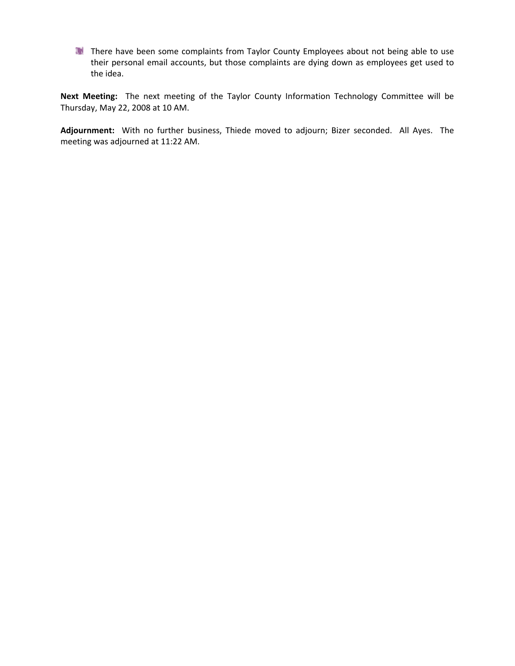There have been some complaints from Taylor County Employees about not being able to use their personal email accounts, but those complaints are dying down as employees get used to the idea.

**Next Meeting:** The next meeting of the Taylor County Information Technology Committee will be Thursday, May 22, 2008 at 10 AM.

**Adjournment:** With no further business, Thiede moved to adjourn; Bizer seconded. All Ayes. The meeting was adjourned at 11:22 AM.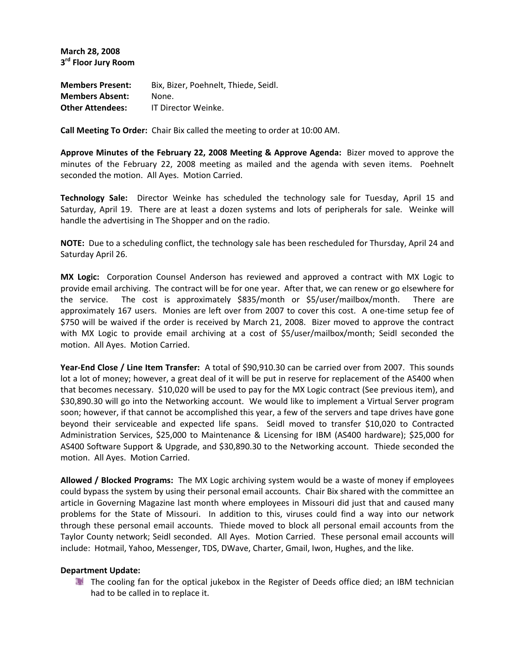**March 28, 2008 3rd Floor Jury Room**

**Members Present:** Bix, Bizer, Poehnelt, Thiede, Seidl. **Members Absent:** None. **Other Attendees:** IT Director Weinke.

**Call Meeting To Order:** Chair Bix called the meeting to order at 10:00 AM.

**Approve Minutes of the February 22, 2008 Meeting & Approve Agenda:** Bizer moved to approve the minutes of the February 22, 2008 meeting as mailed and the agenda with seven items. Poehnelt seconded the motion. All Ayes. Motion Carried.

**Technology Sale:** Director Weinke has scheduled the technology sale for Tuesday, April 15 and Saturday, April 19. There are at least a dozen systems and lots of peripherals for sale. Weinke will handle the advertising in The Shopper and on the radio.

**NOTE:** Due to a scheduling conflict, the technology sale has been rescheduled for Thursday, April 24 and Saturday April 26.

**MX Logic:** Corporation Counsel Anderson has reviewed and approved a contract with MX Logic to provide email archiving. The contract will be for one year. After that, we can renew or go elsewhere for the service. The cost is approximately \$835/month or \$5/user/mailbox/month. There are approximately 167 users. Monies are left over from 2007 to cover this cost. A one-time setup fee of \$750 will be waived if the order is received by March 21, 2008. Bizer moved to approve the contract with MX Logic to provide email archiving at a cost of \$5/user/mailbox/month; Seidl seconded the motion. All Ayes. Motion Carried.

**Year‐End Close / Line Item Transfer:** A total of \$90,910.30 can be carried over from 2007. This sounds lot a lot of money; however, a great deal of it will be put in reserve for replacement of the AS400 when that becomes necessary. \$10,020 will be used to pay for the MX Logic contract (See previous item), and \$30,890.30 will go into the Networking account. We would like to implement a Virtual Server program soon; however, if that cannot be accomplished this year, a few of the servers and tape drives have gone beyond their serviceable and expected life spans. Seidl moved to transfer \$10,020 to Contracted Administration Services, \$25,000 to Maintenance & Licensing for IBM (AS400 hardware); \$25,000 for AS400 Software Support & Upgrade, and \$30,890.30 to the Networking account. Thiede seconded the motion. All Ayes. Motion Carried.

**Allowed / Blocked Programs:** The MX Logic archiving system would be a waste of money if employees could bypass the system by using their personal email accounts. Chair Bix shared with the committee an article in Governing Magazine last month where employees in Missouri did just that and caused many problems for the State of Missouri. In addition to this, viruses could find a way into our network through these personal email accounts. Thiede moved to block all personal email accounts from the Taylor County network; Seidl seconded. All Ayes. Motion Carried. These personal email accounts will include: Hotmail, Yahoo, Messenger, TDS, DWave, Charter, Gmail, Iwon, Hughes, and the like.

### **Department Update:**

The cooling fan for the optical jukebox in the Register of Deeds office died; an IBM technician had to be called in to replace it.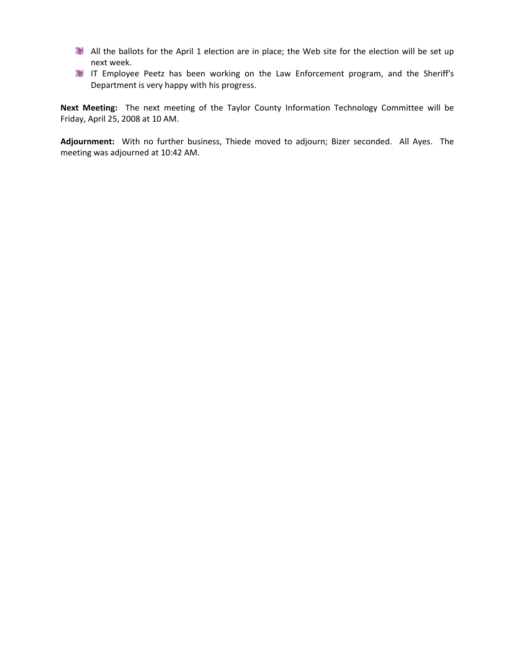- All the ballots for the April 1 election are in place; the Web site for the election will be set up next week.
- IT Employee Peetz has been working on the Law Enforcement program, and the Sheriff's Department is very happy with his progress.

**Next Meeting:** The next meeting of the Taylor County Information Technology Committee will be Friday, April 25, 2008 at 10 AM.

**Adjournment:** With no further business, Thiede moved to adjourn; Bizer seconded. All Ayes. The meeting was adjourned at 10:42 AM.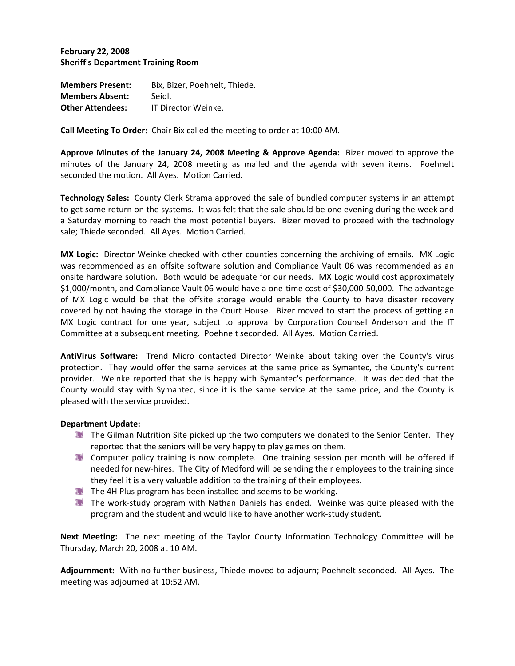**February 22, 2008 Sheriff's Department Training Room**

**Members Present:** Bix, Bizer, Poehnelt, Thiede. **Members Absent:** Seidl. **Other Attendees:** IT Director Weinke.

**Call Meeting To Order:** Chair Bix called the meeting to order at 10:00 AM.

**Approve Minutes of the January 24, 2008 Meeting & Approve Agenda:** Bizer moved to approve the minutes of the January 24, 2008 meeting as mailed and the agenda with seven items. Poehnelt seconded the motion. All Ayes. Motion Carried.

**Technology Sales:** County Clerk Strama approved the sale of bundled computer systems in an attempt to get some return on the systems. It was felt that the sale should be one evening during the week and a Saturday morning to reach the most potential buyers. Bizer moved to proceed with the technology sale; Thiede seconded. All Ayes. Motion Carried.

**MX Logic:** Director Weinke checked with other counties concerning the archiving of emails. MX Logic was recommended as an offsite software solution and Compliance Vault 06 was recommended as an onsite hardware solution. Both would be adequate for our needs. MX Logic would cost approximately \$1,000/month, and Compliance Vault 06 would have a one‐time cost of \$30,000‐50,000. The advantage of MX Logic would be that the offsite storage would enable the County to have disaster recovery covered by not having the storage in the Court House. Bizer moved to start the process of getting an MX Logic contract for one year, subject to approval by Corporation Counsel Anderson and the IT Committee at a subsequent meeting. Poehnelt seconded. All Ayes. Motion Carried.

**AntiVirus Software:** Trend Micro contacted Director Weinke about taking over the County's virus protection. They would offer the same services at the same price as Symantec, the County's current provider. Weinke reported that she is happy with Symantec's performance. It was decided that the County would stay with Symantec, since it is the same service at the same price, and the County is pleased with the service provided.

### **Department Update:**

- The Gilman Nutrition Site picked up the two computers we donated to the Senior Center. They reported that the seniors will be very happy to play games on them.
- **The Computer policy training is now complete. One training session per month will be offered if** needed for new‐hires. The City of Medford will be sending their employees to the training since they feel it is a very valuable addition to the training of their employees.
- The 4H Plus program has been installed and seems to be working.
- The work‐study program with Nathan Daniels has ended. Weinke was quite pleased with the program and the student and would like to have another work‐study student.

**Next Meeting:** The next meeting of the Taylor County Information Technology Committee will be Thursday, March 20, 2008 at 10 AM.

**Adjournment:** With no further business, Thiede moved to adjourn; Poehnelt seconded. All Ayes. The meeting was adjourned at 10:52 AM.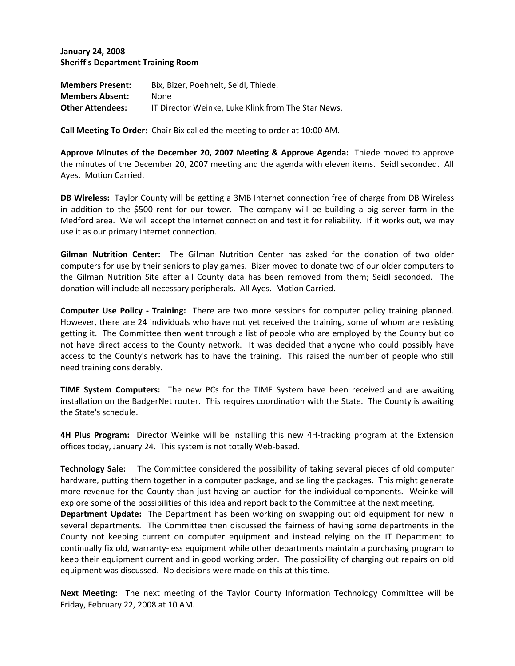**January 24, 2008 Sheriff's Department Training Room**

| <b>Members Present:</b> | Bix. Bizer. Poehnelt. Seidl. Thiede.               |
|-------------------------|----------------------------------------------------|
| <b>Members Absent:</b>  | None.                                              |
| <b>Other Attendees:</b> | IT Director Weinke. Luke Klink from The Star News. |

**Call Meeting To Order:** Chair Bix called the meeting to order at 10:00 AM.

**Approve Minutes of the December 20, 2007 Meeting & Approve Agenda:** Thiede moved to approve the minutes of the December 20, 2007 meeting and the agenda with eleven items. Seidl seconded. All Ayes. Motion Carried.

**DB Wireless:** Taylor County will be getting a 3MB Internet connection free of charge from DB Wireless in addition to the \$500 rent for our tower. The company will be building a big server farm in the Medford area. We will accept the Internet connection and test it for reliability. If it works out, we may use it as our primary Internet connection.

**Gilman Nutrition Center:** The Gilman Nutrition Center has asked for the donation of two older computers for use by their seniors to play games. Bizer moved to donate two of our older computers to the Gilman Nutrition Site after all County data has been removed from them; Seidl seconded. The donation will include all necessary peripherals. All Ayes. Motion Carried.

**Computer Use Policy ‐ Training:** There are two more sessions for computer policy training planned. However, there are 24 individuals who have not yet received the training, some of whom are resisting getting it. The Committee then went through a list of people who are employed by the County but do not have direct access to the County network. It was decided that anyone who could possibly have access to the County's network has to have the training. This raised the number of people who still need training considerably.

**TIME System Computers:** The new PCs for the TIME System have been received and are awaiting installation on the BadgerNet router. This requires coordination with the State. The County is awaiting the State's schedule.

**4H Plus Program:** Director Weinke will be installing this new 4H‐tracking program at the Extension offices today, January 24. This system is not totally Web‐based.

**Technology Sale:**  The Committee considered the possibility of taking several pieces of old computer hardware, putting them together in a computer package, and selling the packages. This might generate more revenue for the County than just having an auction for the individual components. Weinke will explore some of the possibilities of this idea and report back to the Committee at the next meeting.

**Department Update:** The Department has been working on swapping out old equipment for new in several departments. The Committee then discussed the fairness of having some departments in the County not keeping current on computer equipment and instead relying on the IT Department to continually fix old, warranty‐less equipment while other departments maintain a purchasing program to keep their equipment current and in good working order. The possibility of charging out repairs on old equipment was discussed. No decisions were made on this at this time.

**Next Meeting:** The next meeting of the Taylor County Information Technology Committee will be Friday, February 22, 2008 at 10 AM.